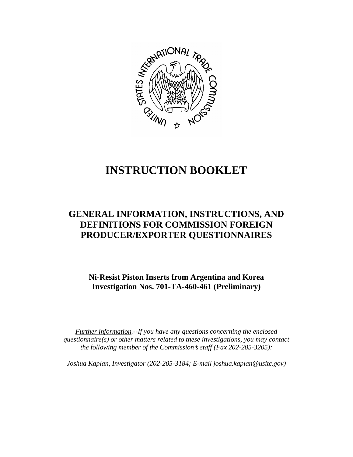

# **INSTRUCTION BOOKLET**

# **GENERAL INFORMATION, INSTRUCTIONS, AND DEFINITIONS FOR COMMISSION FOREIGN PRODUCER/EXPORTER QUESTIONNAIRES**

**Ni-Resist Piston Inserts from Argentina and Korea Investigation Nos. 701-TA-460-461 (Preliminary)** 

*Further information.--If you have any questions concerning the enclosed questionnaire(s) or other matters related to these investigations, you may contact the following member of the Commission*=*s staff (Fax 202-205-3205):* 

*Joshua Kaplan, Investigator (202-205-3184; E-mail joshua.kaplan@usitc.gov)*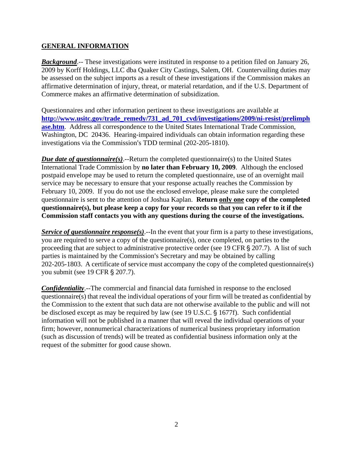## **GENERAL INFORMATION**

*Background*.-- These investigations were instituted in response to a petition filed on January 26, 2009 by Korff Holdings, LLC dba Quaker City Castings, Salem, OH. Countervailing duties may be assessed on the subject imports as a result of these investigations if the Commission makes an affirmative determination of injury, threat, or material retardation, and if the U.S. Department of Commerce makes an affirmative determination of subsidization.

Questionnaires and other information pertinent to these investigations are available at **[http://www.usitc.gov/trade\\_remedy/731\\_ad\\_701\\_cvd/investigations/2009/ni-resist/prelimph](http://www.usitc.gov/trade_remedy/731_ad_701_cvd/investigations/2009/ni-resist/prelimphase.htm) [ase.htm](http://www.usitc.gov/trade_remedy/731_ad_701_cvd/investigations/2009/ni-resist/prelimphase.htm)**. Address all correspondence to the United States International Trade Commission, Washington, DC 20436. Hearing-impaired individuals can obtain information regarding these investigations via the Commission's TDD terminal (202-205-1810).

*Due date of questionnaire(s)*.--Return the completed questionnaire(s) to the United States International Trade Commission by **no later than February 10, 2009**. Although the enclosed postpaid envelope may be used to return the completed questionnaire, use of an overnight mail service may be necessary to ensure that your response actually reaches the Commission by February 10, 2009. If you do not use the enclosed envelope, please make sure the completed questionnaire is sent to the attention of Joshua Kaplan. **Return only one copy of the completed questionnaire(s), but please keep a copy for your records so that you can refer to it if the Commission staff contacts you with any questions during the course of the investigations.**

*Service of questionnaire response(s).*--In the event that your firm is a party to these investigations, you are required to serve a copy of the questionnaire(s), once completed, on parties to the proceeding that are subject to administrative protective order (see 19 CFR  $\S 207.7$ ). A list of such parties is maintained by the Commission's Secretary and may be obtained by calling 202-205-1803. A certificate of service must accompany the copy of the completed questionnaire(s) you submit (see 19 CFR § 207.7).

*Confidentiality*.--The commercial and financial data furnished in response to the enclosed questionnaire(s) that reveal the individual operations of your firm will be treated as confidential by the Commission to the extent that such data are not otherwise available to the public and will not be disclosed except as may be required by law (see 19 U.S.C. § 1677f). Such confidential information will not be published in a manner that will reveal the individual operations of your firm; however, nonnumerical characterizations of numerical business proprietary information (such as discussion of trends) will be treated as confidential business information only at the request of the submitter for good cause shown.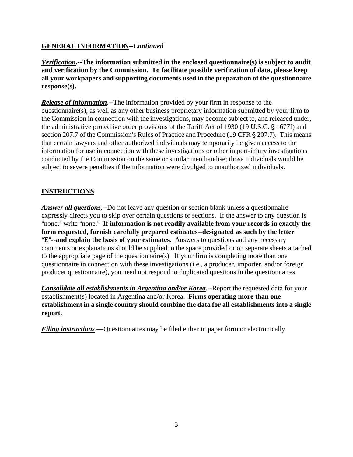# **GENERAL INFORMATION--***Continued*

*Verification***.--The information submitted in the enclosed questionnaire(s) is subject to audit and verification by the Commission. To facilitate possible verification of data, please keep all your workpapers and supporting documents used in the preparation of the questionnaire response(s).**

*Release of information*.--The information provided by your firm in response to the questionnaire(s), as well as any other business proprietary information submitted by your firm to the Commission in connection with the investigations, may become subject to, and released under, the administrative protective order provisions of the Tariff Act of 1930 (19 U.S.C. § 1677f) and section 207.7 of the Commission's Rules of Practice and Procedure (19 CFR § 207.7). This means that certain lawyers and other authorized individuals may temporarily be given access to the information for use in connection with these investigations or other import-injury investigations conducted by the Commission on the same or similar merchandise; those individuals would be subject to severe penalties if the information were divulged to unauthorized individuals.

# **INSTRUCTIONS**

*Answer all questions*.--Do not leave any question or section blank unless a questionnaire expressly directs you to skip over certain questions or sections. If the answer to any question is "none," write "none." If information is not readily available from your records in exactly the **form requested, furnish carefully prepared estimates--designated as such by the letter E<sup>"</sup>--and explain the basis of your estimates**. Answers to questions and any necessary comments or explanations should be supplied in the space provided or on separate sheets attached to the appropriate page of the questionnaire(s). If your firm is completing more than one questionnaire in connection with these investigations (i.e., a producer, importer, and/or foreign producer questionnaire), you need not respond to duplicated questions in the questionnaires.

*Consolidate all establishments in Argentina and/or Korea*.--Report the requested data for your establishment(s) located in Argentina and/or Korea. **Firms operating more than one establishment in a single country should combine the data for all establishments into a single report.** 

*Filing instructions*.—Questionnaires may be filed either in paper form or electronically.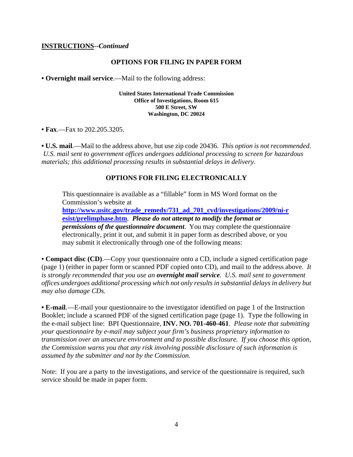#### **INSTRUCTIONS--***Continued*

#### **OPTIONS FOR FILING IN PAPER FORM**

**• Overnight mail service**.—Mail to the following address:

**United States International Trade Commission Office of Investigations, Room 615 500 E Street, SW Washington, DC 20024**

• **Fax**.—Fax to 202.205.3205.

**• U.S. mail**.—Mail to the address above, but use zip code 20436. *This option is not recommended. U.S. mail sent to government offices undergoes additional processing to screen for hazardous materials; this additional processing results in substantial delays in delivery.* 

#### **OPTIONS FOR FILING ELECTRONICALLY**

This questionnaire is available as a "fillable" form in MS Word format on the Commission's website at **[http://www.usitc.gov/trade\\_remedy/731\\_ad\\_701\\_cvd/investigations/2009/ni-r](http://www.usitc.gov/trade_remedy/731_ad_701_cvd/investigations/2009/ni-resist/prelimphase.htm)**

**[esist/prelimphase.htm](http://www.usitc.gov/trade_remedy/731_ad_701_cvd/investigations/2009/ni-resist/prelimphase.htm)**. *Please do not attempt to modify the format or permissions of the questionnaire document*. You may complete the questionnaire electronically, print it out, and submit it in paper form as described above, or you may submit it electronically through one of the following means:

**• Compact disc (CD)**.—Copy your questionnaire onto a CD, include a signed certification page (page 1) (either in paper form or scanned PDF copied onto CD), and mail to the address above. *It is strongly recommended that you use an overnight mail service. U.S. mail sent to government offices undergoes additional processing which not only results in substantial delays in delivery but may also damage CDs.* 

**• E-mail**.—E-mail your questionnaire to the investigator identified on page 1 of the Instruction Booklet; include a scanned PDF of the signed certification page (page 1). Type the following in the e-mail subject line: BPI Questionnaire, **INV. NO. 701-460-461**. *Please note that submitting your questionnaire by e-mail may subject your firm's business proprietary information to transmission over an unsecure environment and to possible disclosure. If you choose this option, the Commission warns you that any risk involving possible disclosure of such information is assumed by the submitter and not by the Commission.* 

Note: If you are a party to the investigations, and service of the questionnaire is required, such service should be made in paper form.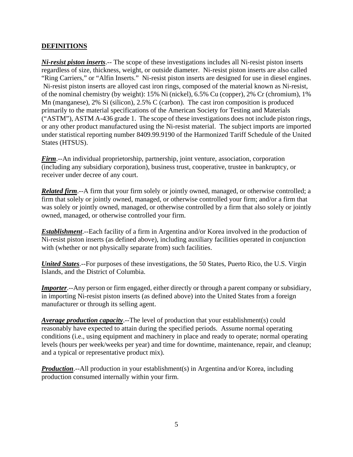# **DEFINITIONS**

*Ni-resist piston inserts*.-- The scope of these investigations includes all Ni-resist piston inserts regardless of size, thickness, weight, or outside diameter. Ni-resist piston inserts are also called "Ring Carriers," or "Alfin Inserts." Ni-resist piston inserts are designed for use in diesel engines. Ni-resist piston inserts are alloyed cast iron rings, composed of the material known as Ni-resist, of the nominal chemistry (by weight): 15% Ni (nickel), 6.5% Cu (copper), 2% Cr (chromium), 1% Mn (manganese), 2% Si (silicon), 2.5% C (carbon). The cast iron composition is produced primarily to the material specifications of the American Society for Testing and Materials ("ASTM"), ASTM A-436 grade 1. The scope of these investigations does not include piston rings, or any other product manufactured using the Ni-resist material. The subject imports are imported under statistical reporting number 8409.99.9190 of the Harmonized Tariff Schedule of the United States (HTSUS).

*Firm*.--An individual proprietorship, partnership, joint venture, association, corporation (including any subsidiary corporation), business trust, cooperative, trustee in bankruptcy, or receiver under decree of any court.

*Related firm.*--A firm that your firm solely or jointly owned, managed, or otherwise controlled; a firm that solely or jointly owned, managed, or otherwise controlled your firm; and/or a firm that was solely or jointly owned, managed, or otherwise controlled by a firm that also solely or jointly owned, managed, or otherwise controlled your firm.

*Establishment*.--Each facility of a firm in Argentina and/or Korea involved in the production of Ni-resist piston inserts (as defined above), including auxiliary facilities operated in conjunction with (whether or not physically separate from) such facilities.

*United States*.--For purposes of these investigations, the 50 States, Puerto Rico, the U.S. Virgin Islands, and the District of Columbia.

*Importer*.--Any person or firm engaged, either directly or through a parent company or subsidiary, in importing Ni-resist piston inserts (as defined above) into the United States from a foreign manufacturer or through its selling agent.

*Average production capacity*.--The level of production that your establishment(s) could reasonably have expected to attain during the specified periods. Assume normal operating conditions (i.e., using equipment and machinery in place and ready to operate; normal operating levels (hours per week/weeks per year) and time for downtime, maintenance, repair, and cleanup; and a typical or representative product mix).

**Production**.--All production in your establishment(s) in Argentina and/or Korea, including production consumed internally within your firm.